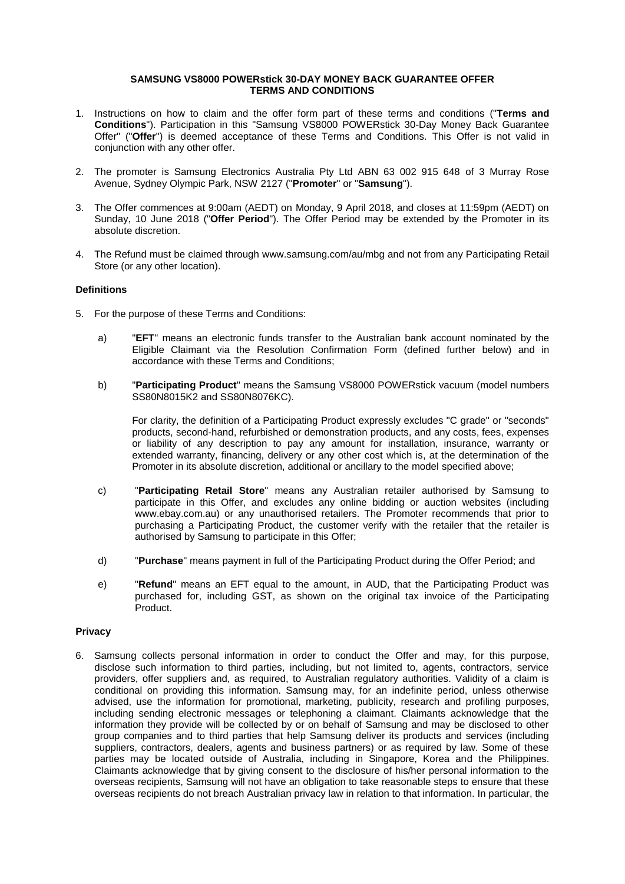### **SAMSUNG VS8000 POWERstick 30-DAY MONEY BACK GUARANTEE OFFER TERMS AND CONDITIONS**

- 1. Instructions on how to claim and the offer form part of these terms and conditions ("**Terms and Conditions**"). Participation in this "Samsung VS8000 POWERstick 30-Day Money Back Guarantee Offer" ("**Offer**") is deemed acceptance of these Terms and Conditions. This Offer is not valid in conjunction with any other offer.
- 2. The promoter is Samsung Electronics Australia Pty Ltd ABN 63 002 915 648 of 3 Murray Rose Avenue, Sydney Olympic Park, NSW 2127 ("**Promoter**" or "**Samsung**").
- 3. The Offer commences at 9:00am (AEDT) on Monday, 9 April 2018, and closes at 11:59pm (AEDT) on Sunday, 10 June 2018 ("**Offer Period**"). The Offer Period may be extended by the Promoter in its absolute discretion.
- 4. The Refund must be claimed through www.samsung.com/au/mbg and not from any Participating Retail Store (or any other location).

# **Definitions**

- 5. For the purpose of these Terms and Conditions:
	- a) "**EFT**" means an electronic funds transfer to the Australian bank account nominated by the Eligible Claimant via the Resolution Confirmation Form (defined further below) and in accordance with these Terms and Conditions;
	- b) "**Participating Product**" means the Samsung VS8000 POWERstick vacuum (model numbers SS80N8015K2 and SS80N8076KC).

For clarity, the definition of a Participating Product expressly excludes "C grade" or "seconds" products, second-hand, refurbished or demonstration products, and any costs, fees, expenses or liability of any description to pay any amount for installation, insurance, warranty or extended warranty, financing, delivery or any other cost which is, at the determination of the Promoter in its absolute discretion, additional or ancillary to the model specified above;

- c) "**Participating Retail Store**" means any Australian retailer authorised by Samsung to participate in this Offer, and excludes any online bidding or auction websites (including [www.ebay.com.au\)](http://www.ebay.com.au/) or any unauthorised retailers. The Promoter recommends that prior to purchasing a Participating Product, the customer verify with the retailer that the retailer is authorised by Samsung to participate in this Offer;
- d) "**Purchase**" means payment in full of the Participating Product during the Offer Period; and
- e) "**Refund**" means an EFT equal to the amount, in AUD, that the Participating Product was purchased for, including GST, as shown on the original tax invoice of the Participating Product.

# **Privacy**

6. Samsung collects personal information in order to conduct the Offer and may, for this purpose, disclose such information to third parties, including, but not limited to, agents, contractors, service providers, offer suppliers and, as required, to Australian regulatory authorities. Validity of a claim is conditional on providing this information. Samsung may, for an indefinite period, unless otherwise advised, use the information for promotional, marketing, publicity, research and profiling purposes, including sending electronic messages or telephoning a claimant. Claimants acknowledge that the information they provide will be collected by or on behalf of Samsung and may be disclosed to other group companies and to third parties that help Samsung deliver its products and services (including suppliers, contractors, dealers, agents and business partners) or as required by law. Some of these parties may be located outside of Australia, including in Singapore, Korea and the Philippines. Claimants acknowledge that by giving consent to the disclosure of his/her personal information to the overseas recipients, Samsung will not have an obligation to take reasonable steps to ensure that these overseas recipients do not breach Australian privacy law in relation to that information. In particular, the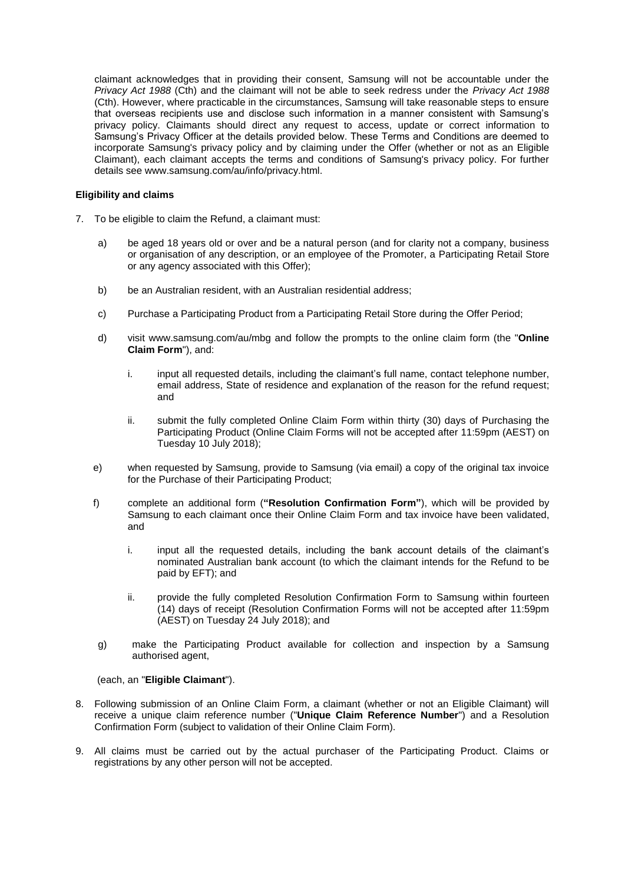claimant acknowledges that in providing their consent, Samsung will not be accountable under the *Privacy Act 1988* (Cth) and the claimant will not be able to seek redress under the *Privacy Act 1988* (Cth). However, where practicable in the circumstances, Samsung will take reasonable steps to ensure that overseas recipients use and disclose such information in a manner consistent with Samsung's privacy policy. Claimants should direct any request to access, update or correct information to Samsung's Privacy Officer at the details provided below. These Terms and Conditions are deemed to incorporate Samsung's privacy policy and by claiming under the Offer (whether or not as an Eligible Claimant), each claimant accepts the terms and conditions of Samsung's privacy policy. For further details see www.samsung.com/au/info/privacy.html.

### **Eligibility and claims**

- 7. To be eligible to claim the Refund, a claimant must:
	- a) be aged 18 years old or over and be a natural person (and for clarity not a company, business or organisation of any description, or an employee of the Promoter, a Participating Retail Store or any agency associated with this Offer);
	- b) be an Australian resident, with an Australian residential address;
	- c) Purchase a Participating Product from a Participating Retail Store during the Offer Period;
	- d) visit www.samsung.com/au/mbg and follow the prompts to the online claim form (the "**Online Claim Form**"), and:
		- i. input all requested details, including the claimant's full name, contact telephone number, email address, State of residence and explanation of the reason for the refund request; and
		- ii. submit the fully completed Online Claim Form within thirty (30) days of Purchasing the Participating Product (Online Claim Forms will not be accepted after 11:59pm (AEST) on Tuesday 10 July 2018);
	- e) when requested by Samsung, provide to Samsung (via email) a copy of the original tax invoice for the Purchase of their Participating Product;
	- f) complete an additional form (**"Resolution Confirmation Form"**), which will be provided by Samsung to each claimant once their Online Claim Form and tax invoice have been validated, and
		- i. input all the requested details, including the bank account details of the claimant's nominated Australian bank account (to which the claimant intends for the Refund to be paid by EFT); and
		- ii. provide the fully completed Resolution Confirmation Form to Samsung within fourteen (14) days of receipt (Resolution Confirmation Forms will not be accepted after 11:59pm (AEST) on Tuesday 24 July 2018); and
	- g) make the Participating Product available for collection and inspection by a Samsung authorised agent,

(each, an "**Eligible Claimant**").

- 8. Following submission of an Online Claim Form, a claimant (whether or not an Eligible Claimant) will receive a unique claim reference number ("**Unique Claim Reference Number**") and a Resolution Confirmation Form (subject to validation of their Online Claim Form).
- 9. All claims must be carried out by the actual purchaser of the Participating Product. Claims or registrations by any other person will not be accepted.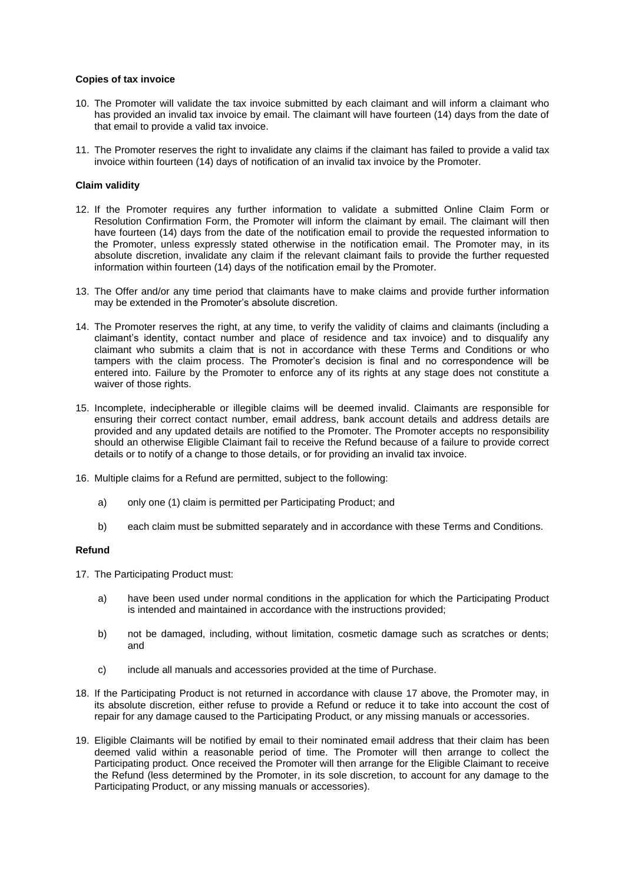### **Copies of tax invoice**

- 10. The Promoter will validate the tax invoice submitted by each claimant and will inform a claimant who has provided an invalid tax invoice by email. The claimant will have fourteen (14) days from the date of that email to provide a valid tax invoice.
- 11. The Promoter reserves the right to invalidate any claims if the claimant has failed to provide a valid tax invoice within fourteen (14) days of notification of an invalid tax invoice by the Promoter.

### **Claim validity**

- 12. If the Promoter requires any further information to validate a submitted Online Claim Form or Resolution Confirmation Form, the Promoter will inform the claimant by email. The claimant will then have fourteen (14) days from the date of the notification email to provide the requested information to the Promoter, unless expressly stated otherwise in the notification email. The Promoter may, in its absolute discretion, invalidate any claim if the relevant claimant fails to provide the further requested information within fourteen (14) days of the notification email by the Promoter.
- 13. The Offer and/or any time period that claimants have to make claims and provide further information may be extended in the Promoter's absolute discretion.
- 14. The Promoter reserves the right, at any time, to verify the validity of claims and claimants (including a claimant's identity, contact number and place of residence and tax invoice) and to disqualify any claimant who submits a claim that is not in accordance with these Terms and Conditions or who tampers with the claim process. The Promoter's decision is final and no correspondence will be entered into. Failure by the Promoter to enforce any of its rights at any stage does not constitute a waiver of those rights.
- 15. Incomplete, indecipherable or illegible claims will be deemed invalid. Claimants are responsible for ensuring their correct contact number, email address, bank account details and address details are provided and any updated details are notified to the Promoter. The Promoter accepts no responsibility should an otherwise Eligible Claimant fail to receive the Refund because of a failure to provide correct details or to notify of a change to those details, or for providing an invalid tax invoice.
- 16. Multiple claims for a Refund are permitted, subject to the following:
	- a) only one (1) claim is permitted per Participating Product; and
	- b) each claim must be submitted separately and in accordance with these Terms and Conditions.

#### **Refund**

- <span id="page-2-0"></span>17. The Participating Product must:
	- a) have been used under normal conditions in the application for which the Participating Product is intended and maintained in accordance with the instructions provided;
	- b) not be damaged, including, without limitation, cosmetic damage such as scratches or dents; and
	- c) include all manuals and accessories provided at the time of Purchase.
- 18. If the Participating Product is not returned in accordance with clause [17](#page-2-0) above, the Promoter may, in its absolute discretion, either refuse to provide a Refund or reduce it to take into account the cost of repair for any damage caused to the Participating Product, or any missing manuals or accessories.
- 19. Eligible Claimants will be notified by email to their nominated email address that their claim has been deemed valid within a reasonable period of time. The Promoter will then arrange to collect the Participating product. Once received the Promoter will then arrange for the Eligible Claimant to receive the Refund (less determined by the Promoter, in its sole discretion, to account for any damage to the Participating Product, or any missing manuals or accessories).